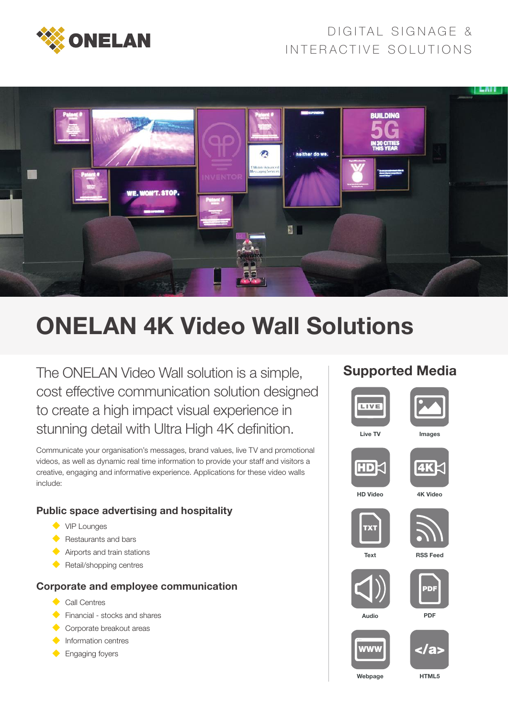

## DIGITAL SIGNAGE & INTERACTIVE SOLUTIONS



# ONELAN 4K Video Wall Solutions

The ONELAN Video Wall solution is a simple, cost effective communication solution designed to create a high impact visual experience in stunning detail with Ultra High 4K definition.

Communicate your organisation's messages, brand values, live TV and promotional videos, as well as dynamic real time information to provide your staff and visitors a creative, engaging and informative experience. Applications for these video walls include:

#### Public space advertising and hospitality

- ◆ VIP Lounges
- Restaurants and bars
- **Airports and train stations**
- Retail/shopping centres

#### Corporate and employee communication

- Call Centres
- Financial stocks and shares
- Corporate breakout areas
- **Information centres**
- **Engaging foyers**

#### Supported Media



Webpage

HTML5